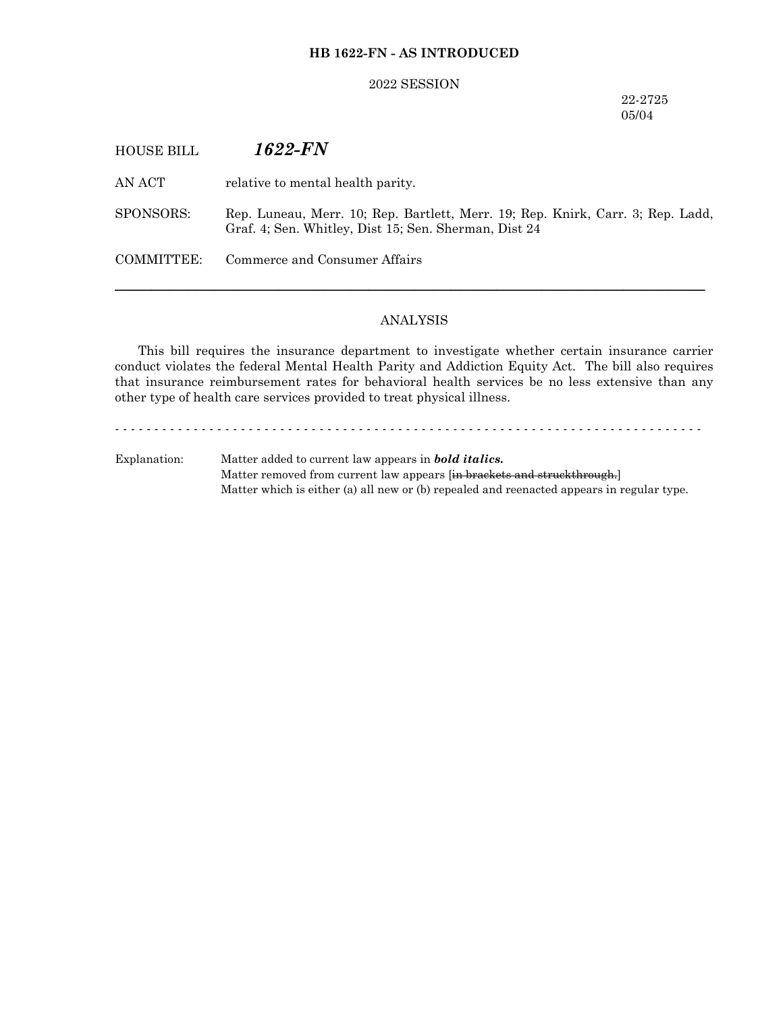# **HB 1622-FN - AS INTRODUCED**

### 2022 SESSION

22-2725 05/04

| <b>HOUSE BILL</b> | 1622-FN                                                                                                                                  |
|-------------------|------------------------------------------------------------------------------------------------------------------------------------------|
| AN ACT            | relative to mental health parity.                                                                                                        |
| SPONSORS:         | Rep. Luneau, Merr. 10; Rep. Bartlett, Merr. 19; Rep. Knirk, Carr. 3; Rep. Ladd,<br>Graf. 4; Sen. Whitley, Dist 15; Sen. Sherman, Dist 24 |
| COMMITTEE:        | Commerce and Consumer Affairs                                                                                                            |
|                   |                                                                                                                                          |

# ANALYSIS

This bill requires the insurance department to investigate whether certain insurance carrier conduct violates the federal Mental Health Parity and Addiction Equity Act. The bill also requires that insurance reimbursement rates for behavioral health services be no less extensive than any other type of health care services provided to treat physical illness.

- - - - - - - - - - - - - - - - - - - - - - - - - - - - - - - - - - - - - - - - - - - - - - - - - - - - - - - - - - - - - - - - - - - - - - - - - - -

Explanation: Matter added to current law appears in *bold italics.* Matter removed from current law appears [in brackets and struckthrough.] Matter which is either (a) all new or (b) repealed and reenacted appears in regular type.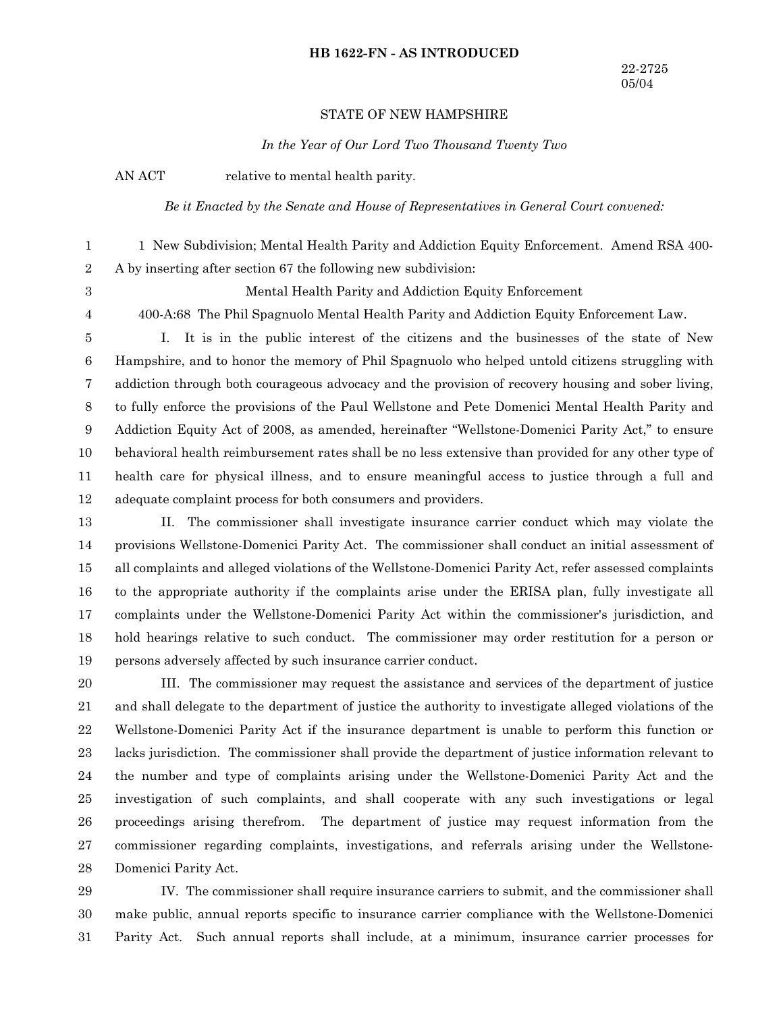#### **HB 1622-FN - AS INTRODUCED**

## STATE OF NEW HAMPSHIRE

*In the Year of Our Lord Two Thousand Twenty Two*

AN ACT relative to mental health parity.

3 4 *Be it Enacted by the Senate and House of Representatives in General Court convened:*

1 New Subdivision; Mental Health Parity and Addiction Equity Enforcement. Amend RSA 400- A by inserting after section 67 the following new subdivision: 1 2

Mental Health Parity and Addiction Equity Enforcement

400-A:68 The Phil Spagnuolo Mental Health Parity and Addiction Equity Enforcement Law.

I. It is in the public interest of the citizens and the businesses of the state of New Hampshire, and to honor the memory of Phil Spagnuolo who helped untold citizens struggling with addiction through both courageous advocacy and the provision of recovery housing and sober living, to fully enforce the provisions of the Paul Wellstone and Pete Domenici Mental Health Parity and Addiction Equity Act of 2008, as amended, hereinafter "Wellstone-Domenici Parity Act," to ensure behavioral health reimbursement rates shall be no less extensive than provided for any other type of health care for physical illness, and to ensure meaningful access to justice through a full and adequate complaint process for both consumers and providers. 5 6 7 8 9 10 11 12

II. The commissioner shall investigate insurance carrier conduct which may violate the provisions Wellstone-Domenici Parity Act. The commissioner shall conduct an initial assessment of all complaints and alleged violations of the Wellstone-Domenici Parity Act, refer assessed complaints to the appropriate authority if the complaints arise under the ERISA plan, fully investigate all complaints under the Wellstone-Domenici Parity Act within the commissioner's jurisdiction, and hold hearings relative to such conduct. The commissioner may order restitution for a person or persons adversely affected by such insurance carrier conduct. 13 14 15 16 17 18 19

III. The commissioner may request the assistance and services of the department of justice and shall delegate to the department of justice the authority to investigate alleged violations of the Wellstone-Domenici Parity Act if the insurance department is unable to perform this function or lacks jurisdiction. The commissioner shall provide the department of justice information relevant to the number and type of complaints arising under the Wellstone-Domenici Parity Act and the investigation of such complaints, and shall cooperate with any such investigations or legal proceedings arising therefrom. The department of justice may request information from the commissioner regarding complaints, investigations, and referrals arising under the Wellstone-Domenici Parity Act. 20 21 22 23 24 25 26 27 28

IV. The commissioner shall require insurance carriers to submit, and the commissioner shall make public, annual reports specific to insurance carrier compliance with the Wellstone-Domenici Parity Act. Such annual reports shall include, at a minimum, insurance carrier processes for 29 30 31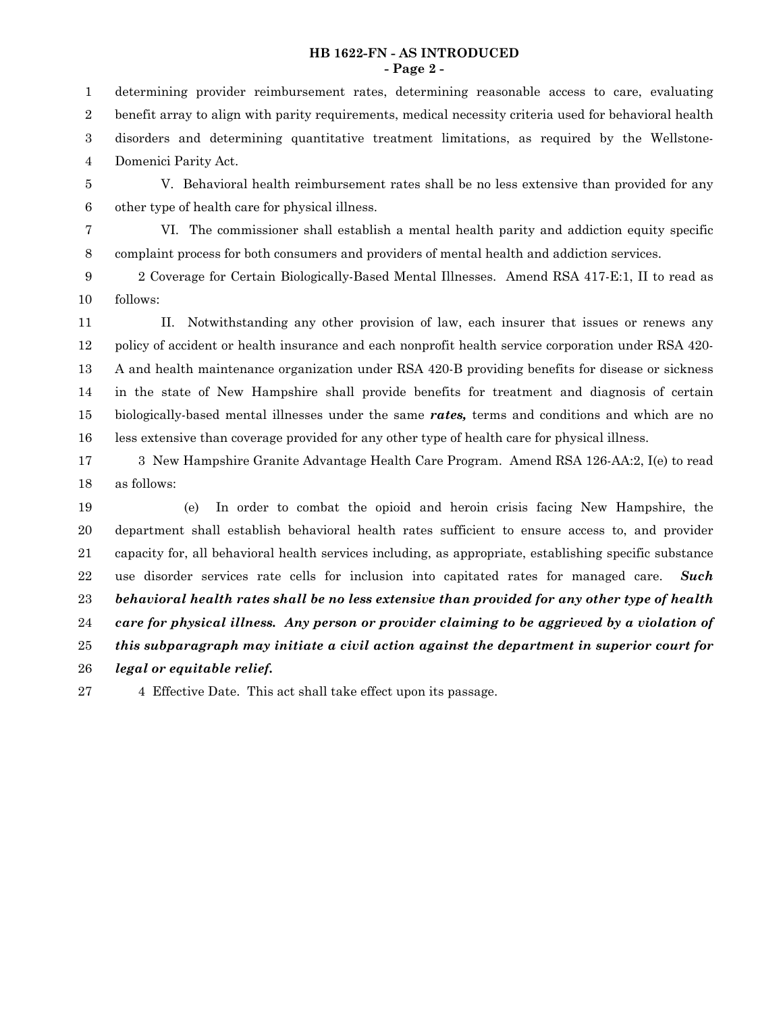### **HB 1622-FN - AS INTRODUCED - Page 2 -**

determining provider reimbursement rates, determining reasonable access to care, evaluating benefit array to align with parity requirements, medical necessity criteria used for behavioral health disorders and determining quantitative treatment limitations, as required by the Wellstone-Domenici Parity Act. 1 2 3 4

V. Behavioral health reimbursement rates shall be no less extensive than provided for any other type of health care for physical illness. 5 6

VI. The commissioner shall establish a mental health parity and addiction equity specific complaint process for both consumers and providers of mental health and addiction services. 7 8

2 Coverage for Certain Biologically-Based Mental Illnesses. Amend RSA 417-E:1, II to read as follows: 9 10

II. Notwithstanding any other provision of law, each insurer that issues or renews any policy of accident or health insurance and each nonprofit health service corporation under RSA 420- A and health maintenance organization under RSA 420-B providing benefits for disease or sickness in the state of New Hampshire shall provide benefits for treatment and diagnosis of certain biologically-based mental illnesses under the same *rates,* terms and conditions and which are no less extensive than coverage provided for any other type of health care for physical illness. 11 12 13 14 15 16

3 New Hampshire Granite Advantage Health Care Program. Amend RSA 126-AA:2, I(e) to read as follows: 17 18

(e) In order to combat the opioid and heroin crisis facing New Hampshire, the department shall establish behavioral health rates sufficient to ensure access to, and provider capacity for, all behavioral health services including, as appropriate, establishing specific substance use disorder services rate cells for inclusion into capitated rates for managed care. *Such behavioral health rates shall be no less extensive than provided for any other type of health care for physical illness. Any person or provider claiming to be aggrieved by a violation of this subparagraph may initiate a civil action against the department in superior court for legal or equitable relief.* 19 20 21 22 23 24 25 26

4 Effective Date. This act shall take effect upon its passage. 27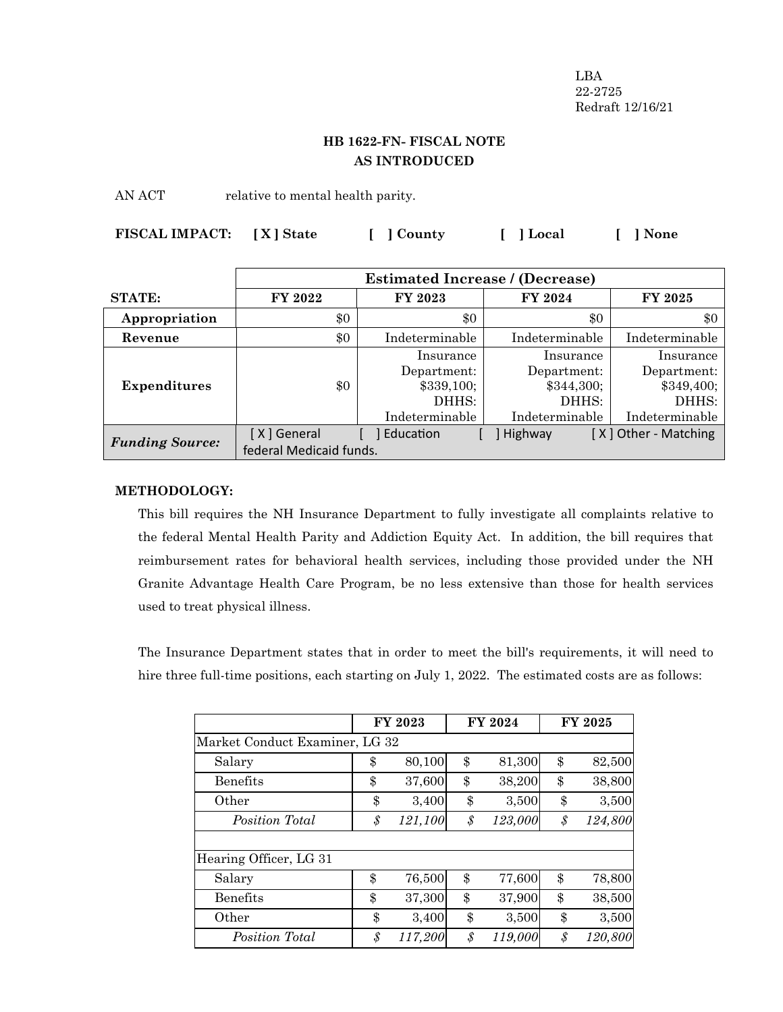LBA 22-2725 Redraft 12/16/21

# **HB 1622-FN- FISCAL NOTE AS INTRODUCED**

AN ACT relative to mental health parity.

| FISCAL IMPACT: [X] State |  | [ ] County | [ ] Local | [ ] None |
|--------------------------|--|------------|-----------|----------|
|--------------------------|--|------------|-----------|----------|

|                        | <b>Estimated Increase / (Decrease)</b> |                |                |                      |  |
|------------------------|----------------------------------------|----------------|----------------|----------------------|--|
| <b>STATE:</b>          | FY 2022                                | <b>FY 2023</b> | <b>FY 2024</b> | <b>FY 2025</b>       |  |
| Appropriation          | \$0                                    | \$0            | \$0            | \$0                  |  |
| Revenue                | \$0                                    | Indeterminable | Indeterminable | Indeterminable       |  |
|                        |                                        | Insurance      | Insurance      | Insurance            |  |
|                        |                                        | Department:    | Department:    | Department:          |  |
| <b>Expenditures</b>    | \$0                                    | \$339,100;     | \$344,300;     | \$349,400;           |  |
|                        |                                        | DHHS:          | DHHS:          | DHHS:                |  |
|                        |                                        | Indeterminable | Indeterminable | Indeterminable       |  |
|                        | [X] General                            | Education      | Highway        | [X] Other - Matching |  |
| <b>Funding Source:</b> | federal Medicaid funds.                |                |                |                      |  |

## **METHODOLOGY:**

This bill requires the NH Insurance Department to fully investigate all complaints relative to the federal Mental Health Parity and Addiction Equity Act. In addition, the bill requires that reimbursement rates for behavioral health services, including those provided under the NH Granite Advantage Health Care Program, be no less extensive than those for health services used to treat physical illness.

The Insurance Department states that in order to meet the bill's requirements, it will need to hire three full-time positions, each starting on July 1, 2022. The estimated costs are as follows:

|                                | <b>FY 2023</b><br>FY 2024 |         |                       | <b>FY 2025</b> |    |         |
|--------------------------------|---------------------------|---------|-----------------------|----------------|----|---------|
| Market Conduct Examiner, LG 32 |                           |         |                       |                |    |         |
| Salary                         | \$                        | 80,100  | \$                    | 81,300         | \$ | 82,500  |
| <b>Benefits</b>                | \$                        | 37,600  | \$                    | 38,200         | \$ | 38,800  |
| Other                          | \$                        | 3,400   | \$                    | 3,500          | \$ | 3,500   |
| Position Total                 | $\mathcal{S}_{0}$         | 121,100 | \$                    | 123,000        | \$ | 124,800 |
|                                |                           |         |                       |                |    |         |
| Hearing Officer, LG 31         |                           |         |                       |                |    |         |
| Salary                         | \$                        | 76,500  | \$                    | 77,600         | \$ | 78,800  |
| <b>Benefits</b>                | \$                        | 37,300  | \$                    | 37,900         | \$ | 38,500  |
| Other                          | \$                        | 3,400   | \$                    | 3,500          | \$ | 3,500   |
| Position Total                 | \$                        | 117,200 | $\mathcal{S}_{0}^{2}$ | 119,000        | \$ | 120,800 |